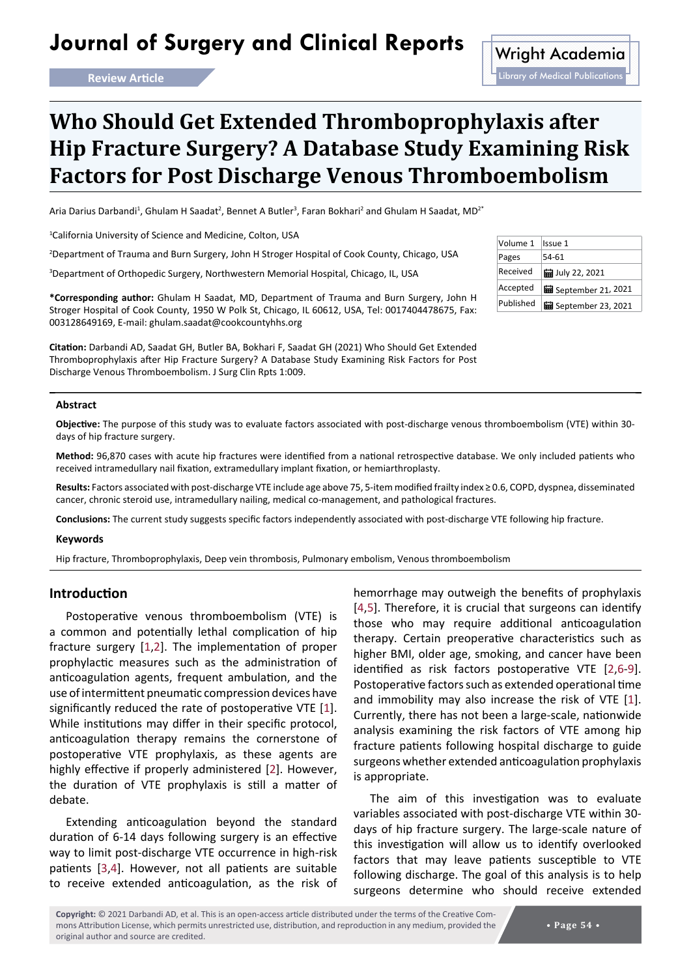# Journal of Surgery and Clinical Reports Wright Academia

# **Who Should Get Extended Thromboprophylaxis after Hip Fracture Surgery? A Database Study Examining Risk Factors for Post Discharge Venous Thromboembolism**

Aria Darius Darbandi<sup>1</sup>, Ghulam H Saadat<sup>2</sup>, Bennet A Butler<sup>3</sup>, Faran Bokhari<sup>2</sup> and Ghulam H Saadat, MD<sup>2</sup>\*

1 California University of Science and Medicine, Colton, USA

2 Department of Trauma and Burn Surgery, John H Stroger Hospital of Cook County, Chicago, USA

3 Department of Orthopedic Surgery, Northwestern Memorial Hospital, Chicago, IL, USA

**\*Corresponding author:** Ghulam H Saadat, MD, Department of Trauma and Burn Surgery, John H Stroger Hospital of Cook County, 1950 W Polk St, Chicago, IL 60612, USA, Tel: 0017404478675, Fax: 003128649169, E-mail: ghulam.saadat@cookcountyhhs.org

**Citation:** Darbandi AD, Saadat GH, Butler BA, Bokhari F, Saadat GH (2021) Who Should Get Extended Thromboprophylaxis after Hip Fracture Surgery? A Database Study Examining Risk Factors for Post Discharge Venous Thromboembolism. J Surg Clin Rpts 1:009.

#### **Abstract**

**Objective:** The purpose of this study was to evaluate factors associated with post-discharge venous thromboembolism (VTE) within 30 days of hip fracture surgery.

**Method:** 96,870 cases with acute hip fractures were identified from a national retrospective database. We only included patients who received intramedullary nail fixation, extramedullary implant fixation, or hemiarthroplasty.

**Results:** Factors associated with post-discharge VTE include age above 75, 5-item modified frailty index ≥ 0.6, COPD, dyspnea, disseminated cancer, chronic steroid use, intramedullary nailing, medical co-management, and pathological fractures.

**Conclusions:** The current study suggests specific factors independently associated with post-discharge VTE following hip fracture.

#### **Keywords**

Hip fracture, Thromboprophylaxis, Deep vein thrombosis, Pulmonary embolism, Venous thromboembolism

# **Introduction**

Postoperative venous thromboembolism (VTE) is a common and potentially lethal complication of hip fracture surgery [[1,](#page-7-5)[2](#page-7-2)]. The implementation of proper prophylactic measures such as the administration of anticoagulation agents, frequent ambulation, and the use of intermittent pneumatic compression devices have significantly reduced the rate of postoperative VTE [[1](#page-7-5)]. While institutions may differ in their specific protocol, anticoagulation therapy remains the cornerstone of postoperative VTE prophylaxis, as these agents are highly effective if properly administered [[2](#page-7-2)]. However, the duration of VTE prophylaxis is still a matter of debate.

Extending anticoagulation beyond the standard duration of 6-14 days following surgery is an effective way to limit post-discharge VTE occurrence in high-risk patients [\[3](#page-7-6)[,4](#page-7-0)]. However, not all patients are suitable to receive extended anticoagulation, as the risk of hemorrhage may outweigh the benefits of prophylaxis [\[4](#page-7-0)[,5](#page-7-1)]. Therefore, it is crucial that surgeons can identify those who may require additional anticoagulation therapy. Certain preoperative characteristics such as higher BMI, older age, smoking, and cancer have been identified as risk factors postoperative VTE [[2](#page-7-2)[,6-](#page-7-3)[9\]](#page-7-4). Postoperative factors such as extended operational time and immobility may also increase the risk of VTE [[1\]](#page-7-5). Currently, there has not been a large-scale, nationwide analysis examining the risk factors of VTE among hip fracture patients following hospital discharge to guide surgeons whether extended anticoagulation prophylaxis is appropriate.

The aim of this investigation was to evaluate variables associated with post-discharge VTE within 30 days of hip fracture surgery. The large-scale nature of this investigation will allow us to identify overlooked factors that may leave patients susceptible to VTE following discharge. The goal of this analysis is to help surgeons determine who should receive extended

| Volume 1  | Issue 1                     |
|-----------|-----------------------------|
| Pages     | 54-61                       |
| Received  | <b>扁 July 22, 2021</b>      |
| Accepted  | <b>H</b> September 21, 2021 |
| Published | <b>■</b> September 23, 2021 |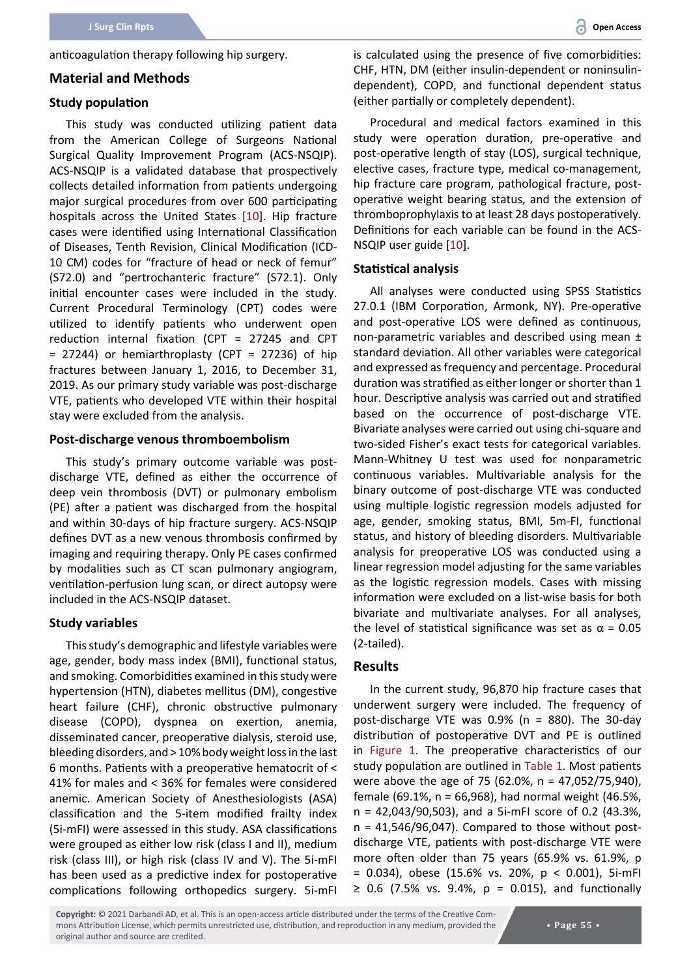anticoagulation therapy following hip surgery.

#### **Material and Methods**

#### **Study population**

This study was conducted utilizing patient data from the American College of Surgeons National Surgical Quality Improvement Program (ACS-NSQIP). ACS-NSQIP is a validated database that prospectively collects detailed information from patients undergoing major surgical procedures from over 600 participating hospitals across the United States [[10](#page-7-7)]. Hip fracture cases were identified using International Classification of Diseases, Tenth Revision, Clinical Modification (ICD-10 CM) codes for "fracture of head or neck of femur" (S72.0) and "pertrochanteric fracture" (S72.1). Only initial encounter cases were included in the study. Current Procedural Terminology (CPT) codes were utilized to identify patients who underwent open reduction internal fixation (CPT = 27245 and CPT  $= 27244$ ) or hemiarthroplasty (CPT = 27236) of hip fractures between January 1, 2016, to December 31, 2019. As our primary study variable was post-discharge VTE, patients who developed VTE within their hospital stay were excluded from the analysis.

## **Post-discharge venous thromboembolism**

This study's primary outcome variable was postdischarge VTE, defined as either the occurrence of deep vein thrombosis (DVT) or pulmonary embolism (PE) after a patient was discharged from the hospital and within 30-days of hip fracture surgery. ACS-NSQIP defines DVT as a new venous thrombosis confirmed by imaging and requiring therapy. Only PE cases confirmed by modalities such as CT scan pulmonary angiogram, ventilation-perfusion lung scan, or direct autopsy were included in the ACS-NSQIP dataset.

#### **Study variables**

This study's demographic and lifestyle variables were age, gender, body mass index (BMI), functional status, and smoking. Comorbidities examined in this study were hypertension (HTN), diabetes mellitus (DM), congestive heart failure (CHF), chronic obstructive pulmonary disease (COPD), dyspnea on exertion, anemia, disseminated cancer, preoperative dialysis, steroid use, bleeding disorders, and > 10% body weight loss in the last 6 months. Patients with a preoperative hematocrit of < 41% for males and < 36% for females were considered anemic. American Society of Anesthesiologists (ASA) classification and the 5-item modified frailty index (5i-mFI) were assessed in this study. ASA classifications were grouped as either low risk (class I and II), medium risk (class III), or high risk (class IV and V). The 5i-mFI has been used as a predictive index for postoperative complications following orthopedics surgery. 5i-mFI is calculated using the presence of five comorbidities: CHF, HTN, DM (either insulin-dependent or noninsulindependent), COPD, and functional dependent status (either partially or completely dependent).

Procedural and medical factors examined in this study were operation duration, pre-operative and post-operative length of stay (LOS), surgical technique, elective cases, fracture type, medical co-management, hip fracture care program, pathological fracture, postoperative weight bearing status, and the extension of thromboprophylaxis to at least 28 days postoperatively. Definitions for each variable can be found in the ACS-NSQIP user guide [[10\]](#page-7-7).

#### **Statistical analysis**

All analyses were conducted using SPSS Statistics 27.0.1 (IBM Corporation, Armonk, NY). Pre-operative and post-operative LOS were defined as continuous, non-parametric variables and described using mean ± standard deviation. All other variables were categorical and expressed as frequency and percentage. Procedural duration was stratified as either longer or shorter than 1 hour. Descriptive analysis was carried out and stratified based on the occurrence of post-discharge VTE. Bivariate analyses were carried out using chi-square and two-sided Fisher's exact tests for categorical variables. Mann-Whitney U test was used for nonparametric continuous variables. Multivariable analysis for the binary outcome of post-discharge VTE was conducted using multiple logistic regression models adjusted for age, gender, smoking status, BMI, 5m-FI, functional status, and history of bleeding disorders. Multivariable analysis for preoperative LOS was conducted using a linear regression model adjusting for the same variables as the logistic regression models. Cases with missing information were excluded on a list-wise basis for both bivariate and multivariate analyses. For all analyses, the level of statistical significance was set as  $α = 0.05$ (2-tailed).

#### **Results**

In the current study, 96,870 hip fracture cases that underwent surgery were included. The frequency of post-discharge VTE was 0.9% (n = 880). The 30-day distribution of postoperative DVT and PE is outlined in [Figure 1.](#page-2-0) The preoperative characteristics of our study population are outlined in [Table 1.](#page-2-1) Most patients were above the age of 75 (62.0%, n = 47,052/75,940), female (69.1%, n = 66,968), had normal weight (46.5%, n = 42,043/90,503), and a 5i-mFI score of 0.2 (43.3%,  $n = 41,546/96,047$ . Compared to those without postdischarge VTE, patients with post-discharge VTE were more often older than 75 years (65.9% vs. 61.9%, p = 0.034), obese (15.6% vs. 20%, p < 0.001), 5i-mFI ≥ 0.6 (7.5% vs. 9.4%, p = 0.015), and functionally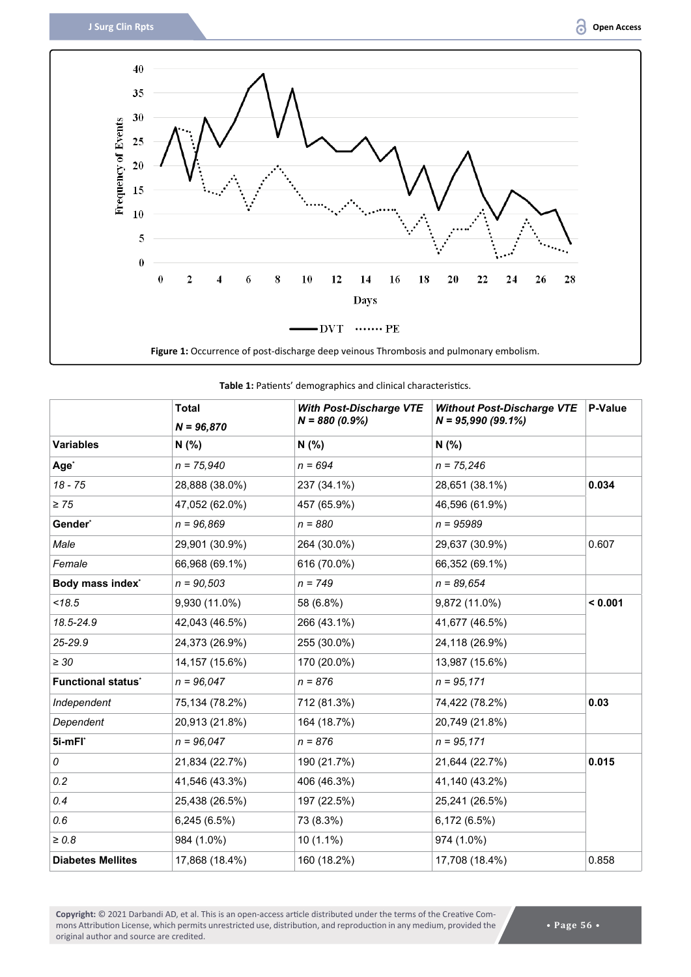<span id="page-2-0"></span>

|                           | <b>Total</b>    | <b>With Post-Discharge VTE</b> | <b>Without Post-Discharge VTE</b> | P-Value |  |
|---------------------------|-----------------|--------------------------------|-----------------------------------|---------|--|
|                           | $N = 96,870$    | $N = 880 (0.9%)$               | $N = 95,990(99.1\%)$              |         |  |
| <b>Variables</b>          | N(% )           | N(% )                          | N(% )                             |         |  |
| Age <sup>*</sup>          | $n = 75,940$    | $n = 694$                      | $n = 75,246$                      |         |  |
| $18 - 75$                 | 28,888 (38.0%)  | 237 (34.1%)                    | 28,651 (38.1%)                    | 0.034   |  |
| $\geq 75$                 | 47,052 (62.0%)  | 457 (65.9%)                    | 46,596 (61.9%)                    |         |  |
| Gender*                   | $n = 96,869$    | $n = 880$                      | $n = 95989$                       |         |  |
| Male                      | 29,901 (30.9%)  | 264 (30.0%)                    | 29,637 (30.9%)                    | 0.607   |  |
| Female                    | 66,968 (69.1%)  | 616 (70.0%)                    | 66,352 (69.1%)                    |         |  |
| Body mass index*          | $n = 90,503$    | $n = 749$                      | $n = 89,654$                      |         |  |
| < 18.5                    | 9,930 (11.0%)   | 58 (6.8%)                      | 9,872 (11.0%)                     | < 0.001 |  |
| 18.5-24.9                 | 42,043 (46.5%)  | 266 (43.1%)                    | 41,677 (46.5%)                    |         |  |
| 25-29.9                   | 24,373 (26.9%)  | 255 (30.0%)                    | 24,118 (26.9%)                    |         |  |
| $\geq 30$                 | 14, 157 (15.6%) | 170 (20.0%)                    | 13,987 (15.6%)                    |         |  |
| <b>Functional status'</b> | $n = 96.047$    | $n = 876$                      | $n = 95,171$                      |         |  |
| Independent               | 75,134 (78.2%)  | 712 (81.3%)                    | 74,422 (78.2%)                    | 0.03    |  |
| Dependent                 | 20,913 (21.8%)  | 164 (18.7%)                    | 20,749 (21.8%)                    |         |  |
| 5i-mFl*                   | $n = 96,047$    | $n = 876$                      | $n = 95,171$                      |         |  |
| 0                         | 21,834 (22.7%)  | 190 (21.7%)                    | 21,644 (22.7%)                    | 0.015   |  |
| 0.2                       | 41,546 (43.3%)  | 406 (46.3%)                    | 41,140 (43.2%)                    |         |  |
| 0.4                       | 25,438 (26.5%)  | 197 (22.5%)                    | 25,241 (26.5%)                    |         |  |
| 0.6                       | 6,245 (6.5%)    | 73 (8.3%)                      | 6,172 (6.5%)                      |         |  |
| $\geq 0.8$                | 984 (1.0%)      | $10(1.1\%)$                    | 974 (1.0%)                        |         |  |
| <b>Diabetes Mellites</b>  | 17,868 (18.4%)  | 160 (18.2%)                    | 17,708 (18.4%)                    | 0.858   |  |

<span id="page-2-1"></span>**Table 1:** Patients' demographics and clinical characteristics.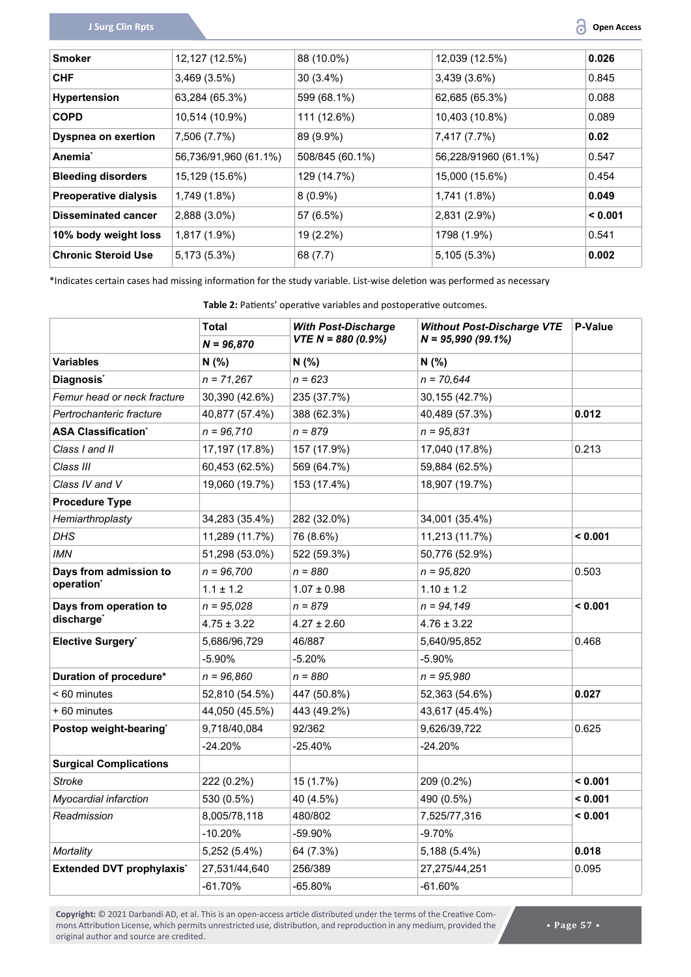| <b>Smoker</b>                | 12,127 (12.5%)        | 88 (10.0%)      | 12,039 (12.5%)       | 0.026   |
|------------------------------|-----------------------|-----------------|----------------------|---------|
| <b>CHF</b>                   | 3,469(3.5%)           | $30(3.4\%)$     | $3,439(3.6\%)$       | 0.845   |
| <b>Hypertension</b>          | 63,284 (65.3%)        | 599 (68.1%)     | 62,685 (65.3%)       | 0.088   |
| <b>COPD</b>                  | 10,514 (10.9%)        | 111 (12.6%)     | 10,403 (10.8%)       | 0.089   |
| <b>Dyspnea on exertion</b>   | 7,506 (7.7%)          | 89 (9.9%)       | 7,417 (7.7%)         | 0.02    |
| Anemia <sup>*</sup>          | 56,736/91,960 (61.1%) | 508/845 (60.1%) | 56,228/91960 (61.1%) | 0.547   |
| <b>Bleeding disorders</b>    | 15,129 (15.6%)        | 129 (14.7%)     | 15,000 (15.6%)       | 0.454   |
| <b>Preoperative dialysis</b> | 1,749 (1.8%)          | $8(0.9\%)$      | 1,741 (1.8%)         | 0.049   |
| <b>Disseminated cancer</b>   | 2,888 (3.0%)          | 57 (6.5%)       | 2,831 (2.9%)         | < 0.001 |
| 10% body weight loss         | 1,817 (1.9%)          | 19 (2.2%)       | 1798 (1.9%)          | 0.541   |
| <b>Chronic Steroid Use</b>   | 5,173 (5.3%)          | 68 (7.7)        | 5,105 (5.3%)         | 0.002   |

\*Indicates certain cases had missing information for the study variable. List-wise deletion was performed as necessary

<span id="page-3-0"></span>**Table 2:** Patients' operative variables and postoperative outcomes.

|                                                  | <b>Total</b>    | <b>With Post-Discharge</b> | <b>Without Post-Discharge VTE</b> | P-Value |  |
|--------------------------------------------------|-----------------|----------------------------|-----------------------------------|---------|--|
|                                                  | $N = 96,870$    | $VTE N = 880 (0.9%)$       | $N = 95,990(99.1\%)$              |         |  |
| <b>Variables</b>                                 | N (%)           | N(% )                      | N(% )                             |         |  |
| Diagnosis <sup>*</sup>                           | $n = 71,267$    | $n = 623$                  | $n = 70,644$                      |         |  |
| Femur head or neck fracture                      | 30,390 (42.6%)  | 235 (37.7%)                | 30,155 (42.7%)                    |         |  |
| Pertrochanteric fracture                         | 40,877 (57.4%)  | 388 (62.3%)                | 40,489 (57.3%)                    | 0.012   |  |
| <b>ASA Classification<sup>®</sup></b>            | $n = 96,710$    | $n = 879$                  | $n = 95,831$                      |         |  |
| Class I and II                                   | 17,197 (17.8%)  | 157 (17.9%)                | 17,040 (17.8%)                    | 0.213   |  |
| Class III                                        | 60,453 (62.5%)  | 569 (64.7%)                | 59,884 (62.5%)                    |         |  |
| Class IV and V                                   | 19,060 (19.7%)  | 153 (17.4%)                | 18,907 (19.7%)                    |         |  |
| <b>Procedure Type</b>                            |                 |                            |                                   |         |  |
| Hemiarthroplasty                                 | 34,283 (35.4%)  | 282 (32.0%)                | 34,001 (35.4%)                    |         |  |
| <b>DHS</b>                                       | 11,289 (11.7%)  | 76 (8.6%)                  | 11,213 (11.7%)                    | < 0.001 |  |
| <b>IMN</b>                                       | 51,298 (53.0%)  | 522 (59.3%)                | 50,776 (52.9%)                    |         |  |
| Days from admission to                           | $n = 96,700$    | $n = 880$                  | $n = 95.820$                      | 0.503   |  |
| operation <sup>*</sup>                           | $1.1 \pm 1.2$   | $1.07 \pm 0.98$            | $1.10 \pm 1.2$                    |         |  |
| Days from operation to<br>discharge <sup>®</sup> | $n = 95.028$    | $n = 879$                  | $n = 94,149$                      | < 0.001 |  |
|                                                  | $4.75 \pm 3.22$ | $4.27 \pm 2.60$            | $4.76 \pm 3.22$                   |         |  |
| Elective Surgery*                                | 5,686/96,729    | 46/887                     | 5,640/95,852                      | 0.468   |  |
|                                                  | $-5.90%$        | $-5.20%$                   | $-5.90%$                          |         |  |
| Duration of procedure*                           | $n = 96,860$    | $n = 880$                  | $n = 95,980$                      |         |  |
| < 60 minutes                                     | 52,810 (54.5%)  | 447 (50.8%)                | 52,363 (54.6%)                    | 0.027   |  |
| +60 minutes                                      | 44,050 (45.5%)  | 443 (49.2%)                | 43,617 (45.4%)                    |         |  |
| Postop weight-bearing*                           | 9,718/40,084    | 92/362                     | 9,626/39,722                      | 0.625   |  |
|                                                  | $-24.20%$       | -25.40%                    | $-24.20%$                         |         |  |
| <b>Surgical Complications</b>                    |                 |                            |                                   |         |  |
| <b>Stroke</b>                                    | 222 (0.2%)      | 15 (1.7%)                  | 209 (0.2%)                        | < 0.001 |  |
| Myocardial infarction                            | 530 (0.5%)      | 40 (4.5%)                  | 490 (0.5%)                        | < 0.001 |  |
| Readmission                                      | 8,005/78,118    | 480/802                    | 7,525/77,316                      | < 0.001 |  |
|                                                  | $-10.20%$       | -59.90%                    | $-9.70%$                          |         |  |
| Mortality                                        | 5,252 (5.4%)    | 64 (7.3%)                  | 5,188 (5.4%)                      | 0.018   |  |
| <b>Extended DVT prophylaxis*</b>                 | 27,531/44,640   | 256/389                    | 27,275/44,251                     | 0.095   |  |
|                                                  | $-61.70%$       | -65.80%                    | $-61.60%$                         |         |  |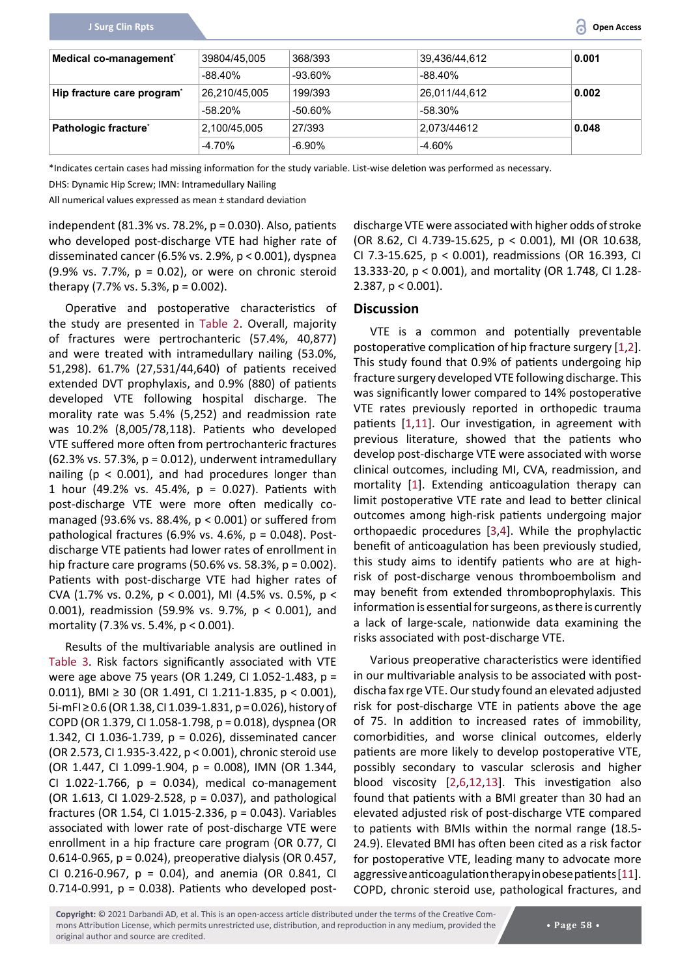| Medical co-management <sup>®</sup>     | 39804/45,005  | 368/393    | 39,436/44,612 | 0.001 |
|----------------------------------------|---------------|------------|---------------|-------|
|                                        | $-88.40\%$    | $-93.60\%$ | $-88.40\%$    |       |
| Hip fracture care program <sup>*</sup> | 26,210/45,005 | 199/393    | 26,011/44,612 | 0.002 |
|                                        | $-58.20%$     | $-50.60\%$ | -58.30%       |       |
| Pathologic fracture*                   | 2,100/45,005  | 27/393     | 2,073/44612   | 0.048 |
|                                        | $-4.70%$      | $-6.90\%$  | $-4.60%$      |       |

\*Indicates certain cases had missing information for the study variable. List-wise deletion was performed as necessary.

DHS: Dynamic Hip Screw; IMN: Intramedullary Nailing

All numerical values expressed as mean ± standard deviation

independent (81.3% vs. 78.2%, p = 0.030). Also, patients who developed post-discharge VTE had higher rate of disseminated cancer (6.5% vs. 2.9%,  $p < 0.001$ ), dyspnea (9.9% vs. 7.7%, p = 0.02), or were on chronic steroid therapy  $(7.7\% \text{ vs. } 5.3\%, \text{ p} = 0.002)$ .

Operative and postoperative characteristics of the study are presented in [Table 2](#page-3-0). Overall, majority of fractures were pertrochanteric (57.4%, 40,877) and were treated with intramedullary nailing (53.0%, 51,298). 61.7% (27,531/44,640) of patients received extended DVT prophylaxis, and 0.9% (880) of patients developed VTE following hospital discharge. The morality rate was 5.4% (5,252) and readmission rate was 10.2% (8,005/78,118). Patients who developed VTE suffered more often from pertrochanteric fractures (62.3% vs. 57.3%, p = 0.012), underwent intramedullary nailing ( $p < 0.001$ ), and had procedures longer than 1 hour (49.2% vs. 45.4%, p = 0.027). Patients with post-discharge VTE were more often medically comanaged (93.6% vs. 88.4%, p < 0.001) or suffered from pathological fractures (6.9% vs. 4.6%, p = 0.048). Postdischarge VTE patients had lower rates of enrollment in hip fracture care programs (50.6% vs. 58.3%,  $p = 0.002$ ). Patients with post-discharge VTE had higher rates of CVA (1.7% vs. 0.2%, p < 0.001), MI (4.5% vs. 0.5%, p < 0.001), readmission (59.9% vs. 9.7%, p < 0.001), and mortality (7.3% vs. 5.4%, p < 0.001).

Results of the multivariable analysis are outlined in [Table 3](#page-5-0). Risk factors significantly associated with VTE were age above 75 years (OR 1.249, CI 1.052-1.483, p = 0.011), BMI ≥ 30 (OR 1.491, CI 1.211-1.835, p < 0.001), 5i-mFI ≥ 0.6 (OR 1.38, CI 1.039-1.831, p = 0.026), history of COPD (OR 1.379, CI 1.058-1.798, p = 0.018), dyspnea (OR 1.342, CI 1.036-1.739, p = 0.026), disseminated cancer (OR 2.573, CI 1.935-3.422, p < 0.001), chronic steroid use (OR 1.447, CI 1.099-1.904, p = 0.008), IMN (OR 1.344, CI 1.022-1.766,  $p = 0.034$ , medical co-management (OR 1.613, CI 1.029-2.528,  $p = 0.037$ ), and pathological fractures (OR 1.54, CI 1.015-2.336, p = 0.043). Variables associated with lower rate of post-discharge VTE were enrollment in a hip fracture care program (OR 0.77, CI 0.614-0.965, p = 0.024), preoperative dialysis (OR 0.457, CI 0.216-0.967,  $p = 0.04$ ), and anemia (OR 0.841, CI 0.714-0.991,  $p = 0.038$ ). Patients who developed postdischarge VTE were associated with higher odds of stroke (OR 8.62, CI 4.739-15.625, p < 0.001), MI (OR 10.638, CI 7.3-15.625, p < 0.001), readmissions (OR 16.393, CI 13.333-20, p < 0.001), and mortality (OR 1.748, CI 1.28- 2.387, p < 0.001).

## **Discussion**

VTE is a common and potentially preventable postoperative complication of hip fracture surgery [[1](#page-7-5)[,2\]](#page-7-2). This study found that 0.9% of patients undergoing hip fracture surgery developed VTE following discharge. This was significantly lower compared to 14% postoperative VTE rates previously reported in orthopedic trauma patients [[1,](#page-7-5)[11](#page-7-8)]. Our investigation, in agreement with previous literature, showed that the patients who develop post-discharge VTE were associated with worse clinical outcomes, including MI, CVA, readmission, and mortality [[1](#page-7-5)]. Extending anticoagulation therapy can limit postoperative VTE rate and lead to better clinical outcomes among high-risk patients undergoing major orthopaedic procedures [[3](#page-7-6),[4](#page-7-0)]. While the prophylactic benefit of anticoagulation has been previously studied, this study aims to identify patients who are at highrisk of post-discharge venous thromboembolism and may benefit from extended thromboprophylaxis. This information is essential for surgeons, as there is currently a lack of large-scale, nationwide data examining the risks associated with post-discharge VTE.

Various preoperative characteristics were identified in our multivariable analysis to be associated with postdischa fax rge VTE. Our study found an elevated adjusted risk for post-discharge VTE in patients above the age of 75. In addition to increased rates of immobility, comorbidities, and worse clinical outcomes, elderly patients are more likely to develop postoperative VTE, possibly secondary to vascular sclerosis and higher blood viscosity [[2](#page-7-2),[6](#page-7-3)[,12](#page-7-9),[13](#page-7-10)]. This investigation also found that patients with a BMI greater than 30 had an elevated adjusted risk of post-discharge VTE compared to patients with BMIs within the normal range (18.5- 24.9). Elevated BMI has often been cited as a risk factor for postoperative VTE, leading many to advocate more aggressive anticoagulation therapy in obese patients [[11\]](#page-7-8). COPD, chronic steroid use, pathological fractures, and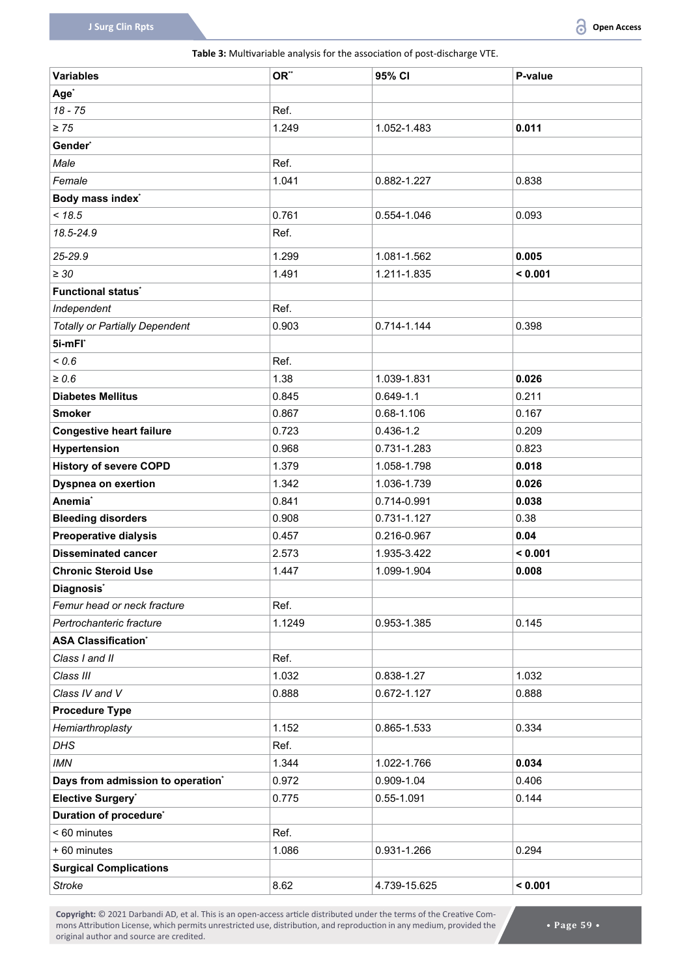#### <span id="page-5-0"></span>**Table 3:** Multivariable analysis for the association of post-discharge VTE.

| <b>Variables</b>                      | OR**   | 95% CI         | P-value |
|---------------------------------------|--------|----------------|---------|
| Age <sup>*</sup>                      |        |                |         |
| $18 - 75$                             | Ref.   |                |         |
| $\geq 75$                             | 1.249  | 1.052-1.483    | 0.011   |
| Gender*                               |        |                |         |
| Male                                  | Ref.   |                |         |
| Female                                | 1.041  | 0.882-1.227    | 0.838   |
| Body mass index <sup>*</sup>          |        |                |         |
| < 18.5                                | 0.761  | 0.554-1.046    | 0.093   |
| 18.5-24.9                             | Ref.   |                |         |
| 25-29.9                               | 1.299  | 1.081-1.562    | 0.005   |
| $\geq 30$                             | 1.491  | 1.211-1.835    | < 0.001 |
| <b>Functional status'</b>             |        |                |         |
| Independent                           | Ref.   |                |         |
| <b>Totally or Partially Dependent</b> | 0.903  | 0.714-1.144    | 0.398   |
| 5i-mFl*                               |        |                |         |
| 0.6                                   | Ref.   |                |         |
| $\geq 0.6$                            | 1.38   | 1.039-1.831    | 0.026   |
| <b>Diabetes Mellitus</b>              | 0.845  | $0.649 - 1.1$  | 0.211   |
| <b>Smoker</b>                         | 0.867  | $0.68 - 1.106$ | 0.167   |
| <b>Congestive heart failure</b>       | 0.723  | $0.436 - 1.2$  | 0.209   |
| Hypertension                          | 0.968  | 0.731-1.283    | 0.823   |
| <b>History of severe COPD</b>         | 1.379  | 1.058-1.798    | 0.018   |
| <b>Dyspnea on exertion</b>            | 1.342  | 1.036-1.739    | 0.026   |
| Anemia <sup>*</sup>                   | 0.841  | 0.714-0.991    | 0.038   |
| <b>Bleeding disorders</b>             | 0.908  | 0.731-1.127    | 0.38    |
| <b>Preoperative dialysis</b>          | 0.457  | 0.216-0.967    | 0.04    |
| <b>Disseminated cancer</b>            | 2.573  | 1.935-3.422    | < 0.001 |
| <b>Chronic Steroid Use</b>            | 1.447  | 1.099-1.904    | 0.008   |
| Diagnosis <sup>*</sup>                |        |                |         |
| Femur head or neck fracture           | Ref.   |                |         |
| Pertrochanteric fracture              | 1.1249 | 0.953-1.385    | 0.145   |
| <b>ASA Classification</b> *           |        |                |         |
| Class I and II                        | Ref.   |                |         |
| Class III                             | 1.032  | 0.838-1.27     | 1.032   |
| Class IV and V                        | 0.888  | 0.672-1.127    | 0.888   |
| <b>Procedure Type</b>                 |        |                |         |
| Hemiarthroplasty                      | 1.152  | 0.865-1.533    | 0.334   |
| <b>DHS</b>                            | Ref.   |                |         |
| <b>IMN</b>                            | 1.344  | 1.022-1.766    | 0.034   |
| Days from admission to operation*     | 0.972  | 0.909-1.04     | 0.406   |
| Elective Surgery*                     | 0.775  | 0.55-1.091     | 0.144   |
| Duration of procedure <sup>*</sup>    |        |                |         |
| < 60 minutes                          | Ref.   |                |         |
| +60 minutes                           | 1.086  | 0.931-1.266    | 0.294   |
| <b>Surgical Complications</b>         |        |                |         |
| <b>Stroke</b>                         | 8.62   | 4.739-15.625   | < 0.001 |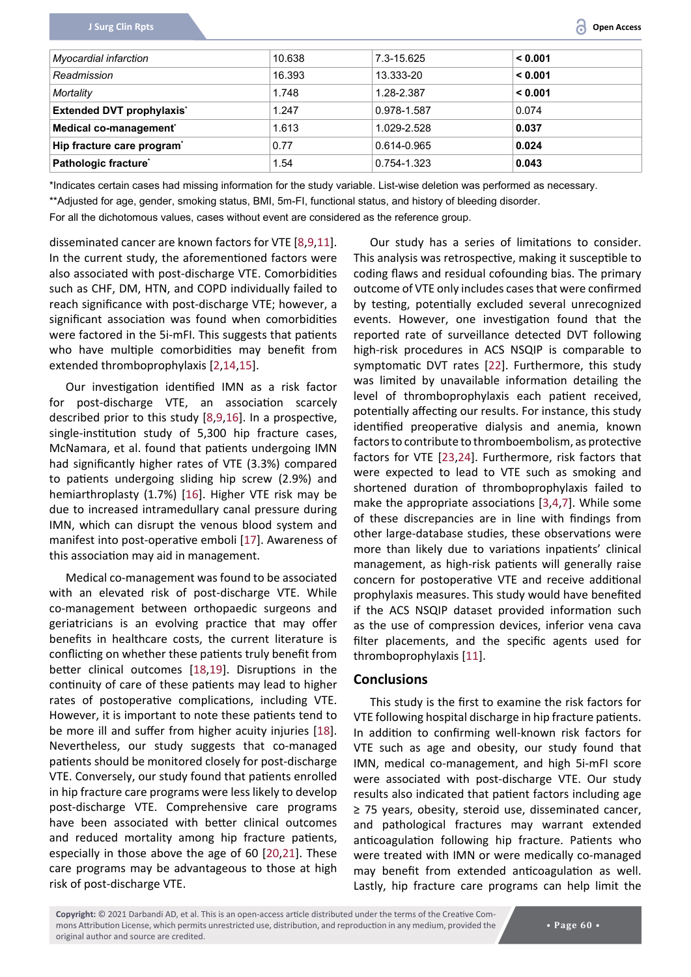| Myocardial infarction            | 10.638 | 7.3-15.625  | 0.001   |
|----------------------------------|--------|-------------|---------|
| Readmission                      | 16.393 | 13.333-20   | < 0.001 |
| Mortality                        | 1.748  | 1.28-2.387  | 0.001   |
| <b>Extended DVT prophylaxis'</b> | 1.247  | 0.978-1.587 | 0.074   |
| Medical co-management®           | 1.613  | 1.029-2.528 | 0.037   |
| Hip fracture care program*       | 0.77   | 0.614-0.965 | 0.024   |
| Pathologic fracture*             | l.54   | 0.754-1.323 | 0.043   |

\*Indicates certain cases had missing information for the study variable. List-wise deletion was performed as necessary. \*\*Adjusted for age, gender, smoking status, BMI, 5m-FI, functional status, and history of bleeding disorder.

For all the dichotomous values, cases without event are considered as the reference group.

disseminated cancer are known factors for VTE [[8](#page-7-15),[9,](#page-7-4)[11](#page-7-8)]. In the current study, the aforementioned factors were also associated with post-discharge VTE. Comorbidities such as CHF, DM, HTN, and COPD individually failed to reach significance with post-discharge VTE; however, a significant association was found when comorbidities were factored in the 5i-mFI. This suggests that patients who have multiple comorbidities may benefit from extended thromboprophylaxis [[2](#page-7-2)[,14](#page-7-16)[,15](#page-7-17)].

Our investigation identified IMN as a risk factor for post-discharge VTE, an association scarcely described prior to this study [[8,](#page-7-15)[9,](#page-7-4)[16](#page-7-18)]. In a prospective, single-institution study of 5,300 hip fracture cases, McNamara, et al. found that patients undergoing IMN had significantly higher rates of VTE (3.3%) compared to patients undergoing sliding hip screw (2.9%) and hemiarthroplasty (1.7%) [[16](#page-7-18)]. Higher VTE risk may be due to increased intramedullary canal pressure during IMN, which can disrupt the venous blood system and manifest into post-operative emboli [[17](#page-7-19)]. Awareness of this association may aid in management.

Medical co-management was found to be associated with an elevated risk of post-discharge VTE. While co-management between orthopaedic surgeons and geriatricians is an evolving practice that may offer benefits in healthcare costs, the current literature is conflicting on whether these patients truly benefit from better clinical outcomes [[18,](#page-7-20)[19](#page-7-21)]. Disruptions in the continuity of care of these patients may lead to higher rates of postoperative complications, including VTE. However, it is important to note these patients tend to be more ill and suffer from higher acuity injuries [[18](#page-7-20)]. Nevertheless, our study suggests that co-managed patients should be monitored closely for post-discharge VTE. Conversely, our study found that patients enrolled in hip fracture care programs were less likely to develop post-discharge VTE. Comprehensive care programs have been associated with better clinical outcomes and reduced mortality among hip fracture patients, especially in those above the age of 60 [[20,](#page-7-22)[21](#page-7-23)]. These care programs may be advantageous to those at high risk of post-discharge VTE.

Our study has a series of limitations to consider. This analysis was retrospective, making it susceptible to coding flaws and residual cofounding bias. The primary outcome of VTE only includes cases that were confirmed by testing, potentially excluded several unrecognized events. However, one investigation found that the reported rate of surveillance detected DVT following high-risk procedures in ACS NSQIP is comparable to symptomatic DVT rates [[22](#page-7-11)]. Furthermore, this study was limited by unavailable information detailing the level of thromboprophylaxis each patient received, potentially affecting our results. For instance, this study identified preoperative dialysis and anemia, known factors to contribute to thromboembolism, as protective factors for VTE [[23](#page-7-12),[24](#page-7-13)]. Furthermore, risk factors that were expected to lead to VTE such as smoking and shortened duration of thromboprophylaxis failed to make the appropriate associations [[3](#page-7-6),[4](#page-7-0)[,7](#page-7-14)]. While some of these discrepancies are in line with findings from other large-database studies, these observations were more than likely due to variations inpatients' clinical management, as high-risk patients will generally raise concern for postoperative VTE and receive additional prophylaxis measures. This study would have benefited if the ACS NSQIP dataset provided information such as the use of compression devices, inferior vena cava filter placements, and the specific agents used for thromboprophylaxis [[11\]](#page-7-8).

#### **Conclusions**

This study is the first to examine the risk factors for VTE following hospital discharge in hip fracture patients. In addition to confirming well-known risk factors for VTE such as age and obesity, our study found that IMN, medical co-management, and high 5i-mFI score were associated with post-discharge VTE. Our study results also indicated that patient factors including age ≥ 75 years, obesity, steroid use, disseminated cancer, and pathological fractures may warrant extended anticoagulation following hip fracture. Patients who were treated with IMN or were medically co-managed may benefit from extended anticoagulation as well. Lastly, hip fracture care programs can help limit the